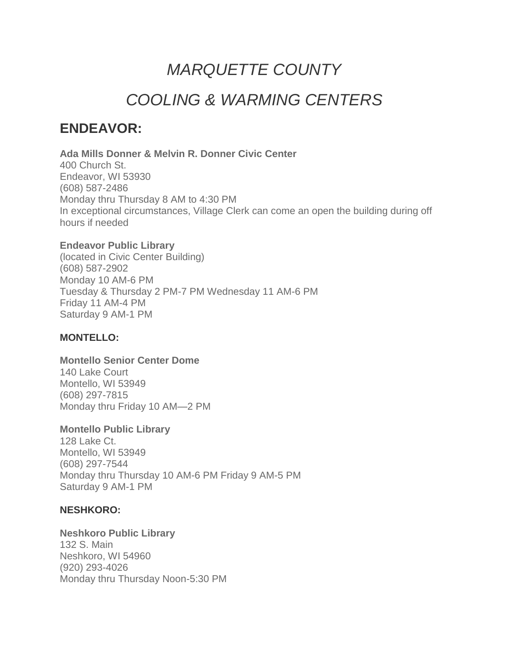# *MARQUETTE COUNTY*

# *COOLING & WARMING CENTERS*

# **ENDEAVOR:**

**Ada Mills Donner & Melvin R. Donner Civic Center** 400 Church St. Endeavor, WI 53930 (608) 587-2486 Monday thru Thursday 8 AM to 4:30 PM In exceptional circumstances, Village Clerk can come an open the building during off hours if needed

# **Endeavor Public Library**

(located in Civic Center Building) (608) 587-2902 Monday 10 AM-6 PM Tuesday & Thursday 2 PM-7 PM Wednesday 11 AM-6 PM Friday 11 AM-4 PM Saturday 9 AM-1 PM

# **MONTELLO:**

# **Montello Senior Center Dome**

140 Lake Court Montello, WI 53949 (608) 297-7815 Monday thru Friday 10 AM—2 PM

# **Montello Public Library**

128 Lake Ct. Montello, WI 53949 (608) 297-7544 Monday thru Thursday 10 AM-6 PM Friday 9 AM-5 PM Saturday 9 AM-1 PM

# **NESHKORO:**

**Neshkoro Public Library** 132 S. Main Neshkoro, WI 54960 (920) 293-4026 Monday thru Thursday Noon-5:30 PM